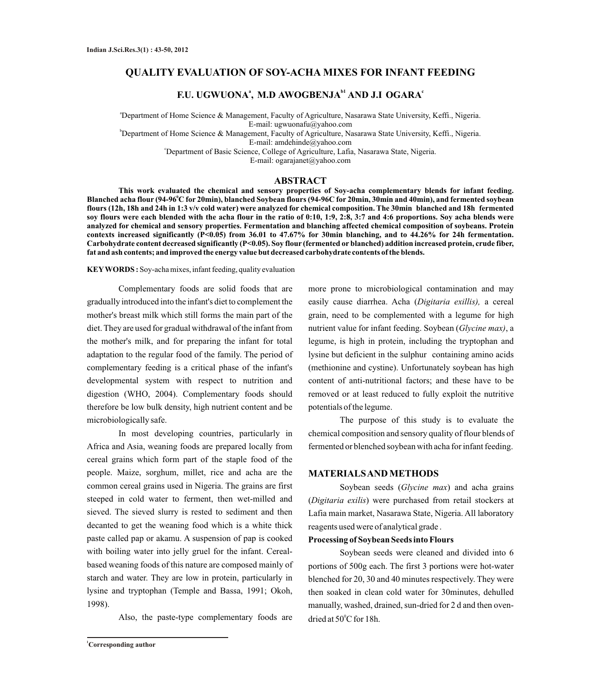# **QUALITY EVALUATION OF SOY-ACHA MIXES FOR INFANT FEEDING**

# **a b1 c F.U. UGWUONA , M.D AWOGBENJA AND J.I OGARA**

<sup>a</sup>Department of Home Science & Management, Faculty of Agriculture, Nasarawa State University, Keffi., Nigeria. E-mail: ugwuonafu@yahoo.com

<sup>b</sup>Department of Home Science & Management, Faculty of Agriculture, Nasarawa State University, Keffi., Nigeria. E-mail: amdehinde@yahoo.com

<sup>c</sup>Department of Basic Science, College of Agriculture, Lafia, Nasarawa State, Nigeria.

E-mail: ogarajanet@yahoo.com

#### **ABSTRACT**

**This work evaluated the chemical and sensory properties of Soy-acha complementary blends for infant feeding. <sup>0</sup> Blanched acha flour (94-96 C for 20min), blanched Soybean flours (94-96C for 20min, 30min and 40min), and fermented soybean flours (12h, 18h and 24h in 1:3 v/v cold water) were analyzed for chemical composition. The 30min blanched and 18h fermented soy flours were each blended with the acha flour in the ratio of 0:10, 1:9, 2:8, 3:7 and 4:6 proportions. Soy acha blends were analyzed for chemical and sensory properties. Fermentation and blanching affected chemical composition of soybeans. Protein contexts increased significantly (P<0.05) from 36.01 to 47.67% for 30min blanching, and to 44.26% for 24h fermentation. Carbohydrate content decreased significantly (P<0.05). Soy flour (fermented or blanched) addition increased protein, crude fiber, fat and ash contents; and improved the energy value but decreased carbohydrate contents of the blends.** 

#### **KEYWORDS :** Soy-acha mixes, infant feeding, quality evaluation

Complementary foods are solid foods that are gradually introduced into the infant's diet to complement the mother's breast milk which still forms the main part of the diet. They are used for gradual withdrawal of the infant from the mother's milk, and for preparing the infant for total adaptation to the regular food of the family. The period of complementary feeding is a critical phase of the infant's developmental system with respect to nutrition and digestion (WHO, 2004). Complementary foods should therefore be low bulk density, high nutrient content and be microbiologically safe.

In most developing countries, particularly in Africa and Asia, weaning foods are prepared locally from cereal grains which form part of the staple food of the people. Maize, sorghum, millet, rice and acha are the common cereal grains used in Nigeria. The grains are first steeped in cold water to ferment, then wet-milled and sieved. The sieved slurry is rested to sediment and then decanted to get the weaning food which is a white thick paste called pap or akamu. A suspension of pap is cooked with boiling water into jelly gruel for the infant. Cerealbased weaning foods of this nature are composed mainly of starch and water. They are low in protein, particularly in lysine and tryptophan (Temple and Bassa, 1991; Okoh, 1998).

Also, the paste-type complementary foods are

**<sup>1</sup>Corresponding author**

more prone to microbiological contamination and may easily cause diarrhea. Acha (*Digitaria exillis),* a cereal grain, need to be complemented with a legume for high nutrient value for infant feeding. Soybean (*Glycine max)*, a legume, is high in protein, including the tryptophan and lysine but deficient in the sulphur containing amino acids (methionine and cystine). Unfortunately soybean has high content of anti-nutritional factors; and these have to be removed or at least reduced to fully exploit the nutritive potentials of the legume.

The purpose of this study is to evaluate the chemical composition and sensory quality of flour blends of fermented or blenched soybean with acha for infant feeding.

#### **MATERIALS AND METHODS**

Soybean seeds (*Glycine max*) and acha grains (*Digitaria exilis*) were purchased from retail stockers at Lafia main market, Nasarawa State, Nigeria. All laboratory reagents used were of analytical grade .

#### **Processing of Soybean Seeds into Flours**

Soybean seeds were cleaned and divided into 6 portions of 500g each. The first 3 portions were hot-water blenched for 20, 30 and 40 minutes respectively. They were then soaked in clean cold water for 30minutes, dehulled manually, washed, drained, sun-dried for 2 d and then ovendried at  $50^{\circ}$ C for 18h.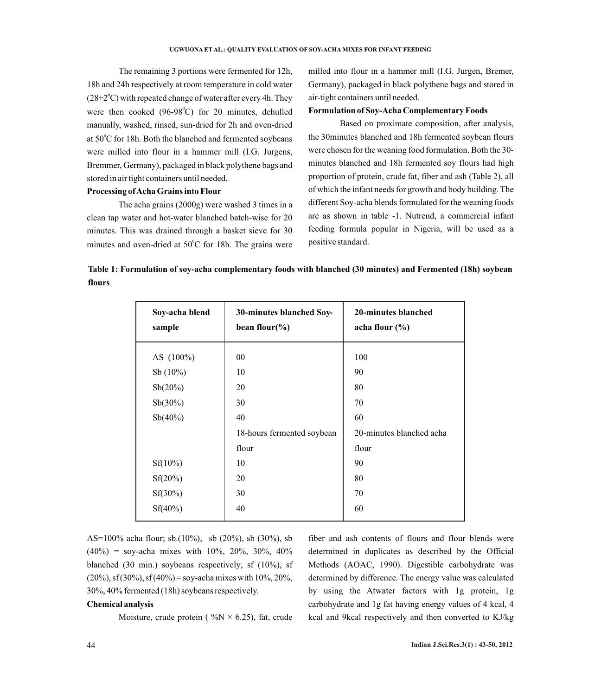The remaining 3 portions were fermented for 12h, 18h and 24h respectively at room temperature in cold water  $(28\pm2<sup>o</sup>C)$  with repeated change of water after every 4h. They were then cooked (96-98 $^{\circ}$ C) for 20 minutes, dehulled manually, washed, rinsed, sun-dried for 2h and oven-dried at 50°C for 18h. Both the blanched and fermented soybeans were milled into flour in a hammer mill (I.G. Jurgens, Bremmer, Germany), packaged in black polythene bags and stored in air tight containers until needed.

## **Processing of Acha Grains into Flour**

The acha grains (2000g) were washed 3 times in a clean tap water and hot-water blanched batch-wise for 20 minutes. This was drained through a basket sieve for 30 minutes and oven-dried at  $50^{\circ}$ C for 18h. The grains were

milled into flour in a hammer mill (I.G. Jurgen, Bremer, Germany), packaged in black polythene bags and stored in air-tight containers until needed.

#### **Formulation of Soy-Acha Complementary Foods**

Based on proximate composition, after analysis, the 30minutes blanched and 18h fermented soybean flours were chosen for the weaning food formulation. Both the 30 minutes blanched and 18h fermented soy flours had high proportion of protein, crude fat, fiber and ash (Table 2), all of which the infant needs for growth and body building. The different Soy-acha blends formulated for the weaning foods are as shown in table -1. Nutrend, a commercial infant feeding formula popular in Nigeria, will be used as a positive standard.

**Table 1: Formulation of soy-acha complementary foods with blanched (30 minutes) and Fermented (18h) soybean flours** 

| Soy-acha blend<br>sample | 30-minutes blanched Soy-<br>bean flour( $\%$ ) | 20-minutes blanched<br>acha flour $(\% )$ |
|--------------------------|------------------------------------------------|-------------------------------------------|
| AS (100%)                | $00\,$                                         | 100                                       |
| Sb $(10\%)$              | 10                                             | 90                                        |
| Sb(20%)                  | 20                                             | 80                                        |
| $Sb(30\%)$               | 30                                             | 70                                        |
| $Sb(40\%)$               | 40                                             | 60                                        |
|                          | 18-hours fermented soybean                     | 20-minutes blanched acha                  |
|                          | flour                                          | flour                                     |
| $Sf(10\%)$               | 10                                             | 90                                        |
| Sf(20%)                  | 20                                             | 80                                        |
| $Sf(30\%)$               | 30                                             | 70                                        |
| $Sf(40\%)$               | 40                                             | 60                                        |

AS=100% acha flour; sb.(10%), sb (20%), sb (30%), sb  $(40\%)$  = soy-acha mixes with 10%, 20%, 30%, 40% blanched (30 min.) soybeans respectively; sf (10%), sf  $(20\%)$ , sf $(30\%)$ , sf $(40\%)$  = soy-acha mixes with 10%, 20%, 30%, 40% fermented (18h) soybeans respectively.

#### **Chemical analysis**

Moisture, crude protein ( $\%$ N × 6.25), fat, crude

fiber and ash contents of flours and flour blends were determined in duplicates as described by the Official Methods (AOAC, 1990). Digestible carbohydrate was determined by difference. The energy value was calculated by using the Atwater factors with 1g protein, 1g carbohydrate and 1g fat having energy values of 4 kcal, 4 kcal and 9kcal respectively and then converted to KJ/kg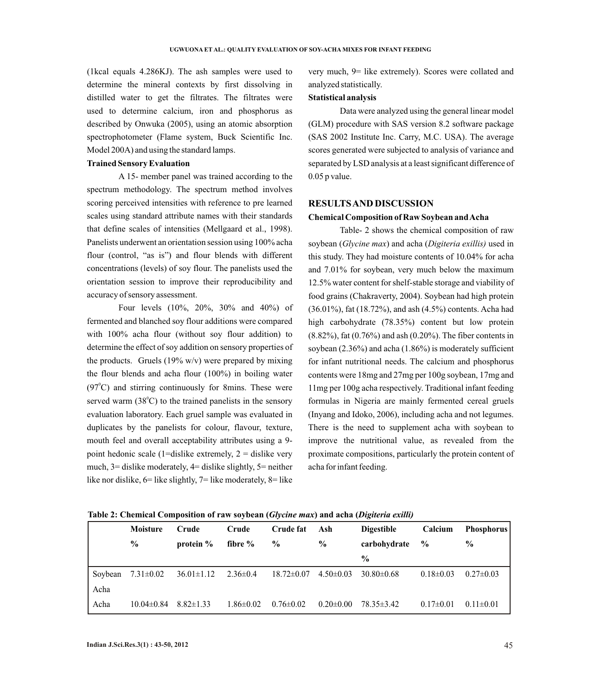(1kcal equals 4.286KJ). The ash samples were used to determine the mineral contexts by first dissolving in distilled water to get the filtrates. The filtrates were used to determine calcium, iron and phosphorus as described by Onwuka (2005), using an atomic absorption spectrophotometer (Flame system, Buck Scientific Inc. Model 200A) and using the standard lamps.

## **Trained Sensory Evaluation**

A 15- member panel was trained according to the spectrum methodology. The spectrum method involves scoring perceived intensities with reference to pre learned scales using standard attribute names with their standards that define scales of intensities (Mellgaard et al., 1998). Panelists underwent an orientation session using 100% acha flour (control, "as is") and flour blends with different concentrations (levels) of soy flour. The panelists used the orientation session to improve their reproducibility and accuracy of sensory assessment.

Four levels (10%, 20%, 30% and 40%) of fermented and blanched soy flour additions were compared with 100% acha flour (without soy flour addition) to determine the effect of soy addition on sensory properties of the products. Gruels  $(19\% \text{ w/v})$  were prepared by mixing the flour blends and acha flour (100%) in boiling water  $(97^{\circ}$ C) and stirring continuously for 8mins. These were served warm  $(38^{\circ}C)$  to the trained panelists in the sensory evaluation laboratory. Each gruel sample was evaluated in duplicates by the panelists for colour, flavour, texture, mouth feel and overall acceptability attributes using a 9 point hedonic scale (1=dislike extremely,  $2 =$  dislike very much, 3= dislike moderately, 4= dislike slightly, 5= neither like nor dislike, 6= like slightly, 7= like moderately, 8= like

very much, 9= like extremely). Scores were collated and analyzed statistically.

### **Statistical analysis**

Data were analyzed using the general linear model (GLM) procedure with SAS version 8.2 software package (SAS 2002 Institute Inc. Carry, M.C. USA). The average scores generated were subjected to analysis of variance and separated by LSD analysis at a least significant difference of 0.05 p value.

## **RESULTS AND DISCUSSION**

#### **Chemical Composition of Raw Soybean and Acha**

Table- 2 shows the chemical composition of raw soybean (*Glycine max*) and acha (*Digiteria exillis)* used in this study. They had moisture contents of 10.04% for acha and 7.01% for soybean, very much below the maximum 12.5% water content for shelf-stable storage and viability of food grains (Chakraverty, 2004). Soybean had high protein (36.01%), fat (18.72%), and ash (4.5%) contents. Acha had high carbohydrate (78.35%) content but low protein (8.82%), fat (0.76%) and ash (0.20%). The fiber contents in soybean (2.36%) and acha (1.86%) is moderately sufficient for infant nutritional needs. The calcium and phosphorus contents were 18mg and 27mg per 100g soybean, 17mg and 11mg per 100g acha respectively. Traditional infant feeding formulas in Nigeria are mainly fermented cereal gruels (Inyang and Idoko, 2006), including acha and not legumes. There is the need to supplement acha with soybean to improve the nutritional value, as revealed from the proximate compositions, particularly the protein content of acha for infant feeding.

|         | <b>Moisture</b> | Crude            | Crude           | Crude fat        | Ash             | <b>Digestible</b> | Calcium         | <b>Phosphorus</b> |
|---------|-----------------|------------------|-----------------|------------------|-----------------|-------------------|-----------------|-------------------|
|         | $\%$            | protein $\%$     | fibre $\%$      | $\frac{0}{0}$    | $\%$            | carbohydrate      | $\frac{0}{0}$   | $\frac{0}{0}$     |
|         |                 |                  |                 |                  |                 | $\frac{0}{0}$     |                 |                   |
| Soybean | $7.31 \pm 0.02$ | $36.01 \pm 1.12$ | $2.36 \pm 0.4$  | $18.72 \pm 0.07$ | $4.50\pm0.03$   | $30.80\pm0.68$    | $0.18 \pm 0.03$ | $0.27 \pm 0.03$   |
| Acha    |                 |                  |                 |                  |                 |                   |                 |                   |
| Acha    | $10.04\pm0.84$  | $8.82 \pm 1.33$  | $1.86 \pm 0.02$ | $0.76 \pm 0.02$  | $0.20 \pm 0.00$ | $78.35 \pm 3.42$  | $0.17 \pm 0.01$ | $0.11 \pm 0.01$   |

**Table 2: Chemical Composition of raw soybean (***Glycine max***) and acha (***Digiteria exilli)*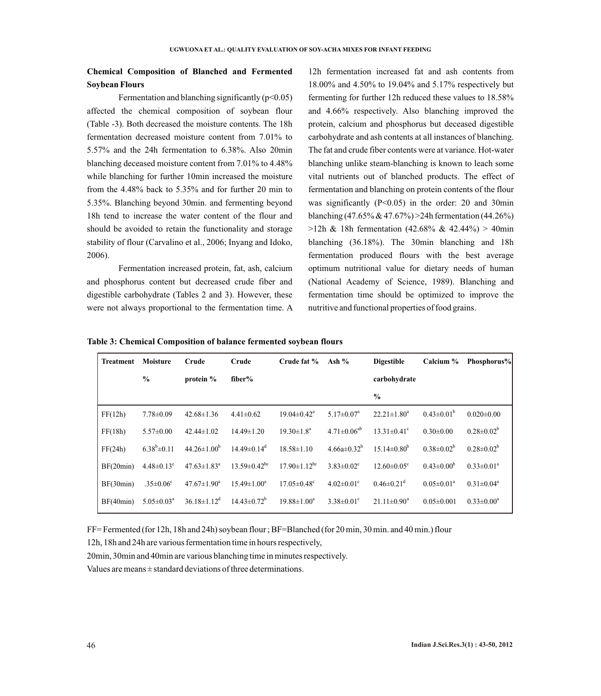# **Chemical Composition of Blanched and Fermented Soybean Flours**

Fermentation and blanching significantly  $(p<0.05)$ affected the chemical composition of soybean flour (Table -3). Both decreased the moisture contents. The 18h fermentation decreased moisture content from 7.01% to 5.57% and the 24h fermentation to 6.38%. Also 20min blanching deceased moisture content from 7.01% to 4.48% while blanching for further 10min increased the moisture from the 4.48% back to 5.35% and for further 20 min to 5.35%. Blanching beyond 30min. and fermenting beyond 18h tend to increase the water content of the flour and should be avoided to retain the functionality and storage stability of flour (Carvalino et al., 2006; Inyang and Idoko, 2006).

Fermentation increased protein, fat, ash, calcium and phosphorus content but decreased crude fiber and digestible carbohydrate (Tables 2 and 3). However, these were not always proportional to the fermentation time. A

12h fermentation increased fat and ash contents from 18.00% and 4.50% to 19.04% and 5.17% respectively but fermenting for further 12h reduced these values to 18.58% and 4.66% respectively. Also blanching improved the protein, calcium and phosphorus but deceased digestible carbohydrate and ash contents at all instances of blanching. The fat and crude fiber contents were at variance. Hot-water blanching unlike steam-blanching is known to leach some vital nutrients out of blanched products. The effect of fermentation and blanching on protein contents of the flour was significantly (P<0.05) in the order: 20 and 30min blanching  $(47.65\% \& 47.67\%) > 24h$  fermentation  $(44.26\%)$  $>12h$  & 18h fermentation (42.68% & 42.44%) > 40min blanching (36.18%). The 30min blanching and 18h fermentation produced flours with the best average optimum nutritional value for dietary needs of human (National Academy of Science, 1989). Blanching and fermentation time should be optimized to improve the nutritive and functional properties of food grains.

|  | Table 3: Chemical Composition of balance fermented soybean flours |
|--|-------------------------------------------------------------------|
|--|-------------------------------------------------------------------|

| Treatment | Moisture                     | Crude                         | Crude                          | Crude fat %                    | Ash $%$                      | <b>Digestible</b>             | Calcium $\%$      | Phosphorus%       |
|-----------|------------------------------|-------------------------------|--------------------------------|--------------------------------|------------------------------|-------------------------------|-------------------|-------------------|
|           | $\frac{0}{0}$                | protein $%$                   | fiber%                         |                                |                              | carbohydrate                  |                   |                   |
|           |                              |                               |                                |                                |                              | $\frac{0}{0}$                 |                   |                   |
| FF(12h)   | $7.78 \pm 0.09$              | $42.68 \pm 1.36$              | $4.41\pm0.62$                  | $19.04 \pm 0.42$ <sup>a</sup>  | $5.17 \pm 0.07$ <sup>a</sup> | $22.21 \pm 1.80^a$            | $0.43 \pm 0.01^b$ | $0.020 \pm 0.00$  |
| FF(18h)   | $5.57 \pm 0.00$              | $42.44\pm1.02$                | $14.49 \pm 1.20$               | $19.30 \pm 1.8^a$              | $4.71 \pm 0.06^{ab}$         | $13.31 \pm 0.41$ °            | $0.30 \pm 0.00$   | $0.28 \pm 0.02^b$ |
| FF(24h)   | $6.38^b \pm 0.11$            | $44.26 \pm 1.00^b$            | $14.49\pm0.14^d$               | $18.58 \pm 1.10$               | $4.66a\pm0.32^{b}$           | $15.14 \pm 0.80^b$            | $0.38 \pm 0.02^b$ | $0.28 \pm 0.02^b$ |
| BF(20min) | $4.48 \pm 0.13$ <sup>c</sup> | $47.63 \pm 1.83$ <sup>a</sup> | $13.59 \pm 0.42$ <sup>bc</sup> | $17.90 \pm 1.12$ <sup>bc</sup> | $3.83 \pm 0.02$ <sup>c</sup> | $12.60 \pm 0.05$ <sup>c</sup> | $0.43 \pm 0.00^b$ | $0.33 \pm 0.01^a$ |
| BF(30min) | $.35 \pm 0.06$ <sup>c</sup>  | $47.67 \pm 1.90^a$            | $15.49 \pm 1.00^a$             | $17.05 \pm 0.48$ <sup>c</sup>  | $4.02 \pm 0.01$ °            | $0.46 \pm 0.21$ <sup>d</sup>  | $0.05 \pm 0.01^a$ | $0.31 \pm 0.04^a$ |
| BF(40min) | $5.05 \pm 0.03^{\text{a}}$   | $36.18 \pm 1.12^d$            | $14.43 \pm 0.72^b$             | $19.88 \pm 1.00^a$             | $3.38\pm0.01^{\circ}$        | $21.11 \pm 0.90^a$            | $0.05 \pm 0.001$  | $0.33 \pm 0.00^a$ |

FF= Fermented (for 12h, 18h and 24h) soybean flour ; BF=Blanched (for 20 min, 30 min. and 40 min.) flour

12h, 18h and 24h are various fermentation time in hours respectively,

20min, 30min and 40min are various blanching time in minutes respectively.

Values are means  $\pm$  standard deviations of three determinations.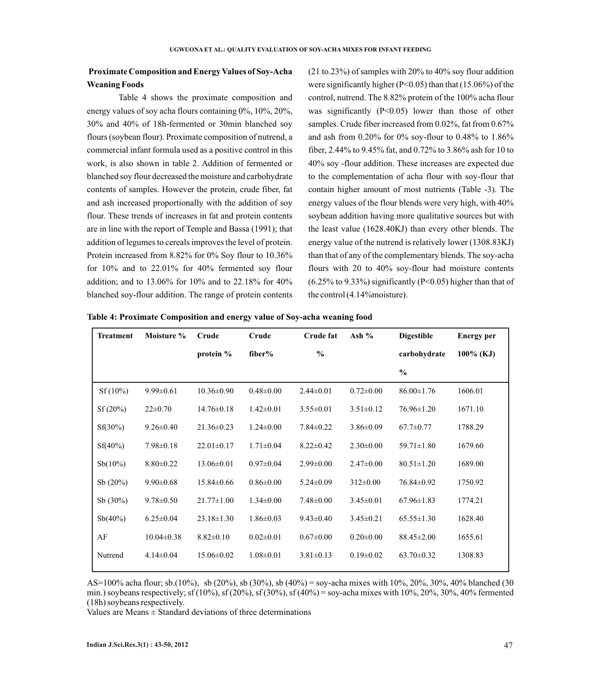# **Proximate Composition and Energy Values of Soy-Acha Weaning Foods**

Table 4 shows the proximate composition and energy values of soy acha flours containing 0%, 10%, 20%, 30% and 40% of 18h-fermented or 30min blanched soy flours (soybean flour). Proximate composition of nutrend, a commercial infant formula used as a positive control in this work, is also shown in table 2. Addition of fermented or blanched soy flour decreased the moisture and carbohydrate contents of samples. However the protein, crude fiber, fat and ash increased proportionally with the addition of soy flour. These trends of increases in fat and protein contents are in line with the report of Temple and Bassa (1991); that addition of legumes to cereals improves the level of protein. Protein increased from 8.82% for 0% Soy flour to 10.36% for 10% and to 22.01% for 40% fermented soy flour addition; and to 13.06% for 10% and to 22.18% for 40% blanched soy-flour addition. The range of protein contents

(21 to.23%) of samples with 20% to 40% soy flour addition were significantly higher (P<0.05) than that (15.06%) of the control, nutrend. The 8.82% protein of the 100% acha flour was significantly  $(P<0.05)$  lower than those of other samples. Crude fiber increased from 0.02%, fat from 0.67% and ash from 0.20% for 0% soy-flour to 0.48% to 1.86% fiber, 2.44% to 9.45% fat, and 0.72% to 3.86% ash for 10 to 40% soy -flour addition. These increases are expected due to the complementation of acha flour with soy-flour that contain higher amount of most nutrients (Table -3). The energy values of the flour blends were very high, with 40% soybean addition having more qualitative sources but with the least value (1628.40KJ) than every other blends. The energy value of the nutrend is relatively lower (1308.83KJ) than that of any of the complementary blends. The soy-acha flours with 20 to 40% soy-flour had moisture contents (6.25% to 9.33%) significantly (P<0.05) higher than that of the control (4.14%moisture).

|  | Table 4: Proximate Composition and energy value of Soy-acha weaning food |  |
|--|--------------------------------------------------------------------------|--|
|  |                                                                          |  |

| <b>Treatment</b> | Moisture %       | Crude            | Crude           | Crude fat       | Ash $%$         | <b>Digestible</b> | <b>Energy</b> per |
|------------------|------------------|------------------|-----------------|-----------------|-----------------|-------------------|-------------------|
|                  |                  | protein $%$      | fiber%          | $\frac{0}{0}$   |                 | carbohydrate      | $100\%$ (KJ)      |
|                  |                  |                  |                 |                 |                 | $\frac{6}{6}$     |                   |
| $Sf(10\%)$       | $9.99 \pm 0.61$  | $10.36 \pm 0.90$ | $0.48 \pm 0.00$ | $2.44 \pm 0.01$ | $0.72 \pm 0.00$ | $86.00 \pm 1.76$  | 1606.01           |
| Sf(20%)          | $22 \pm 0.70$    | $14.76 \pm 0.18$ | $1.42 \pm 0.01$ | $3.55 \pm 0.01$ | $3.51 \pm 0.12$ | $76.96 \pm 1.20$  | 1671.10           |
| $Sf(30\%)$       | $9.26 \pm 0.40$  | $21.36 \pm 0.23$ | $1.24 \pm 0.00$ | $7.84 \pm 0.22$ | $3.86 \pm 0.09$ | $67.7 \pm 0.77$   | 1788.29           |
| $Sf(40\%)$       | $7.98 \pm 0.18$  | $22.01 \pm 0.17$ | $1.71 \pm 0.04$ | $8.22 \pm 0.42$ | $2.30\pm0.00$   | 59.71±1.80        | 1679.60           |
| $Sb(10\%)$       | $8.80 \pm 0.22$  | $13.06 \pm 0.01$ | $0.97 \pm 0.04$ | $2.99 \pm 0.00$ | $2.47\pm0.00$   | $80.51 \pm 1.20$  | 1689.00           |
| Sb(20%)          | $9.90 \pm 0.68$  | $15.84 \pm 0.66$ | $0.86 \pm 0.00$ | $5.24 \pm 0.09$ | $312\pm0.00$    | 76.84±0.92        | 1750.92           |
| Sb(30%)          | $9.78 \pm 0.50$  | $21.77 \pm 1.00$ | $1.34 \pm 0.00$ | $7.48 \pm 0.00$ | $3.45 \pm 0.01$ | $67.96 \pm 1.83$  | 1774.21           |
| $Sb(40\%)$       | $6.25 \pm 0.04$  | $23.18 \pm 1.30$ | $1.86 \pm 0.03$ | $9.43 \pm 0.40$ | $3.45 \pm 0.21$ | $65.55 \pm 1.30$  | 1628.40           |
| AF               | $10.04 \pm 0.38$ | $8.82 \pm 0.10$  | $0.02 \pm 0.01$ | $0.67 \pm 0.00$ | $0.20 \pm 0.00$ | $88.45 \pm 2.00$  | 1655.61           |
| Nutrend          | $4.14 \pm 0.04$  | $15.06 \pm 0.02$ | $1.08 \pm 0.01$ | $3.81 \pm 0.13$ | $0.19 \pm 0.02$ | $63.70 \pm 0.32$  | 1308.83           |
|                  |                  |                  |                 |                 |                 |                   |                   |

AS=100% acha flour; sb.(10%), sb (20%), sb (30%), sb (40%) = soy-acha mixes with 10%, 20%, 30%, 40% blanched (30 min.) soybeans respectively; sf (10%), sf (20%), sf (30%), sf (40%) = soy-acha mixes with 10%, 20%, 30%, 40% fermented (18h) soybeans respectively.

Values are Means  $\pm$  Standard deviations of three determinations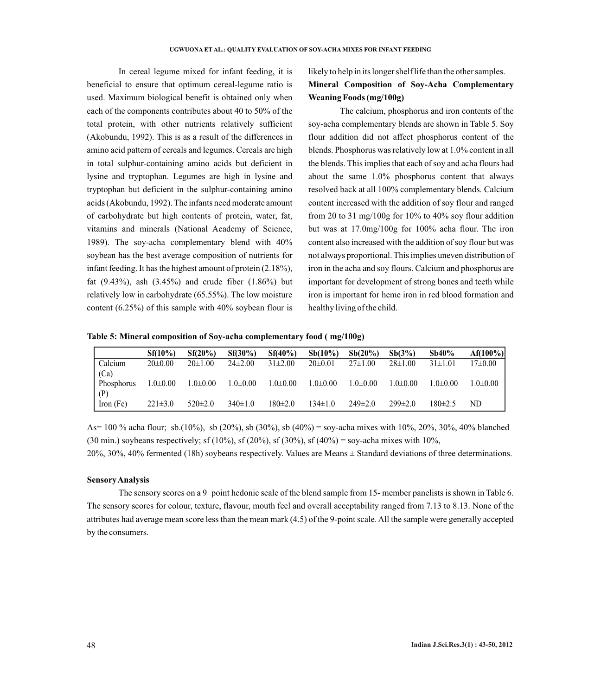In cereal legume mixed for infant feeding, it is beneficial to ensure that optimum cereal-legume ratio is used. Maximum biological benefit is obtained only when each of the components contributes about 40 to 50% of the total protein, with other nutrients relatively sufficient (Akobundu, 1992). This is as a result of the differences in amino acid pattern of cereals and legumes. Cereals are high in total sulphur-containing amino acids but deficient in lysine and tryptophan. Legumes are high in lysine and tryptophan but deficient in the sulphur-containing amino acids (Akobundu, 1992). The infants need moderate amount of carbohydrate but high contents of protein, water, fat, vitamins and minerals (National Academy of Science, 1989). The soy-acha complementary blend with 40% soybean has the best average composition of nutrients for infant feeding. It has the highest amount of protein (2.18%), fat (9.43%), ash (3.45%) and crude fiber (1.86%) but relatively low in carbohydrate (65.55%). The low moisture content (6.25%) of this sample with 40% soybean flour is

likely to help in its longer shelf life than the other samples. **Mineral Composition of Soy-Acha Complementary Weaning Foods (mg/100g)** 

The calcium, phosphorus and iron contents of the soy-acha complementary blends are shown in Table 5. Soy flour addition did not affect phosphorus content of the blends. Phosphorus was relatively low at 1.0% content in all the blends. This implies that each of soy and acha flours had about the same 1.0% phosphorus content that always resolved back at all 100% complementary blends. Calcium content increased with the addition of soy flour and ranged from 20 to 31 mg/100g for  $10\%$  to 40% soy flour addition but was at 17.0mg/100g for 100% acha flour. The iron content also increased with the addition of soy flour but was not always proportional. This implies uneven distribution of iron in the acha and soy flours. Calcium and phosphorus are important for development of strong bones and teeth while iron is important for heme iron in red blood formation and healthy living of the child.

**Table 5: Mineral composition of Soy-acha complementary food ( mg/100g)** 

|                                 | $Sf(10\%)$     | Sf(20%)       | $Sf(30\%)$    | $Sf(40\%)$     | $Sb(10\%)$     | Sb(20%)       | $Sb(3\%)$      | Sb40%         | $Af(100\%)$  |
|---------------------------------|----------------|---------------|---------------|----------------|----------------|---------------|----------------|---------------|--------------|
| Calcium<br>(Ca)                 | $20 \pm 0.00$  | $20 \pm 1.00$ | $24\pm2.00$   | $31\pm2.00$    | $20 \pm 0.01$  | $27 \pm 1.00$ | $28 \pm 1.00$  | $31\pm1.01$   | $17\pm0.00$  |
| <b>Phosphorus</b><br>$\mid$ (P) | $1.0 \pm 0.00$ | $1.0\pm0.00$  | $1.0\pm0.00$  | $1.0 \pm 0.00$ | $1.0 \pm 0.00$ | $1.0\pm0.00$  | $1.0 \pm 0.00$ | $1.0\pm0.00$  | $1.0\pm0.00$ |
| $\ln$ Iron (Fe)                 | $221 \pm 3.0$  | $520 \pm 2.0$ | $340 \pm 1.0$ | $180 \pm 2.0$  | $134 \pm 1.0$  | $249 \pm 2.0$ | $299\pm2.0$    | $180 \pm 2.5$ | ND           |

As= 100 % acha flour; sb.(10%), sb (20%), sb (30%), sb (40%) = soy-acha mixes with 10%, 20%, 30%, 40% blanched (30 min.) soybeans respectively; sf (10%), sf (20%), sf (30%), sf (40%) = soy-acha mixes with 10%,

20%, 30%, 40% fermented (18h) soybeans respectively. Values are Means ± Standard deviations of three determinations.

#### **Sensory Analysis**

The sensory scores on a 9 point hedonic scale of the blend sample from 15- member panelists is shown in Table 6. The sensory scores for colour, texture, flavour, mouth feel and overall acceptability ranged from 7.13 to 8.13. None of the attributes had average mean score less than the mean mark (4.5) of the 9-point scale. All the sample were generally accepted by the consumers.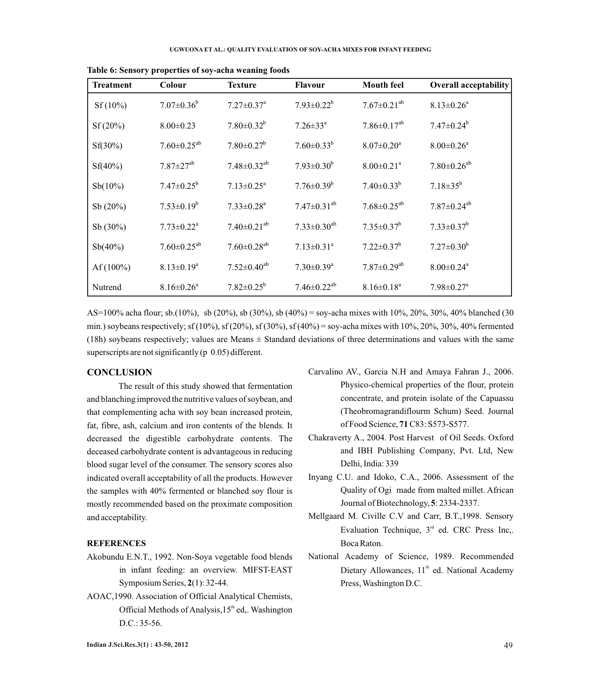| <b>Treatment</b> | Colour                       | <b>Texture</b>                | <b>Flavour</b>               | <b>Mouth feel</b>             | <b>Overall acceptability</b>  |
|------------------|------------------------------|-------------------------------|------------------------------|-------------------------------|-------------------------------|
| $Sf(10\%)$       | $7.07 \pm 0.36^b$            | $7.27 \pm 0.37$ <sup>a</sup>  | $7.93 \pm 0.22^b$            | $7.67 \pm 0.21^{ab}$          | $8.13 \pm 0.26^a$             |
| Sf(20%)          | $8.00 \pm 0.23$              | $7.80 \pm 0.32^b$             | $7.26 \pm 33^{\text{a}}$     | $7.86 \pm 0.17^{ab}$          | $7.47 \pm 0.24^b$             |
| $Sf(30\%)$       | $7.60 \pm 0.25^{ab}$         | $7.80 \pm 0.27^b$             | $7.60\pm0.33^{b}$            | $8.07 \pm 0.20$ <sup>a</sup>  | $8.00 \pm 0.26$ <sup>a</sup>  |
| $Sf(40\%)$       | $7.87 \pm 27^{ab}$           | $7.48 \pm 0.32$ <sup>ab</sup> | $7.93 \pm 0.30^b$            | $8.00 \pm 0.21$ <sup>a</sup>  | $7.80 \pm 0.26$ <sup>ab</sup> |
| $Sb(10\%)$       | $7.47 \pm 0.25^b$            | $7.13 \pm 0.25$ <sup>a</sup>  | $7.76 \pm 0.39^b$            | $7.40\pm0.33^{b}$             | $7.18 \pm 35^{b}$             |
| Sb(20%)          | $7.53 \pm 0.19^b$            | $7.33 \pm 0.28$ <sup>a</sup>  | $7.47 \pm 0.31^{ab}$         | $7.68 \pm 0.25^{ab}$          | $7.87 \pm 0.24$ <sup>ab</sup> |
| $Sb(30\%)$       | $7.73 \pm 0.22^a$            | $7.40 \pm 0.21^{ab}$          | $7.33 \pm 0.30^{ab}$         | $7.35 \pm 0.37^b$             | $7.33 \pm 0.37^b$             |
| Sb(40%)          | $7.60 \pm 0.25^{ab}$         | $7.60 \pm 0.28$ <sup>ab</sup> | $7.13 \pm 0.31$ <sup>a</sup> | $7.22 \pm 0.37^b$             | $7.27 \pm 0.30^b$             |
| Af $(100\%)$     | $8.13 \pm 0.19^a$            | $7.52 \pm 0.40^{ab}$          | $7.30 \pm 0.39$ <sup>a</sup> | $7.87 \pm 0.29$ <sup>ab</sup> | $8.00 \pm 0.24$ <sup>a</sup>  |
| Nutrend          | $8.16 \pm 0.26$ <sup>a</sup> | $7.82 \pm 0.25^b$             | $7.46 \pm 0.22^{ab}$         | $8.16 \pm 0.18^a$             | $7.98 \pm 0.27$ <sup>a</sup>  |

**Table 6: Sensory properties of soy-acha weaning foods** 

AS=100% acha flour; sb.(10%), sb (20%), sb (30%), sb (40%) = soy-acha mixes with 10%, 20%, 30%, 40% blanched (30 min.) soybeans respectively; sf (10%), sf (20%), sf (30%), sf (40%) = soy-acha mixes with 10%, 20%, 30%, 40% fermented (18h) soybeans respectively; values are Means ± Standard deviations of three determinations and values with the same superscripts are not significantly (p 0.05) different.

## **CONCLUSION**

The result of this study showed that fermentation and blanching improved the nutritive values of soybean, and that complementing acha with soy bean increased protein, fat, fibre, ash, calcium and iron contents of the blends. It decreased the digestible carbohydrate contents. The deceased carbohydrate content is advantageous in reducing blood sugar level of the consumer. The sensory scores also indicated overall acceptability of all the products. However the samples with 40% fermented or blanched soy flour is mostly recommended based on the proximate composition and acceptability.

### **REFERENCES**

- Akobundu E.N.T., 1992. Non-Soya vegetable food blends in infant feeding: an overview. MIFST-EAST Symposium Series, **2**(1): 32-44.
- AOAC,1990. Association of Official Analytical Chemists, Official Methods of Analysis,  $15<sup>th</sup>$  ed.. Washington D.C.: 35-56.
- Carvalino AV., Garcia N.H and Amaya Fahran J., 2006. Physico-chemical properties of the flour, protein concentrate, and protein isolate of the Capuassu (Theobromagrandiflourm Schum) Seed. Journal of Food Science, **71**C83: S573-S577.
- Chakraverty A., 2004. Post Harvest of Oil Seeds. Oxford and IBH Publishing Company, Pvt. Ltd, New Delhi, India: 339
- Inyang C.U. and Idoko, C.A., 2006. Assessment of the Quality of Ogi made from malted millet. African Journal of Biotechnology, **5**: 2334-2337.
- Mellgaard M. Civille C.V and Carr, B.T.,1998. Sensory Evaluation Technique,  $3<sup>rd</sup>$  ed. CRC Press Inc,. Boca Raton.
- National Academy of Science, 1989. Recommended Dietary Allowances, 11<sup>th</sup> ed. National Academy Press, Washington D.C.